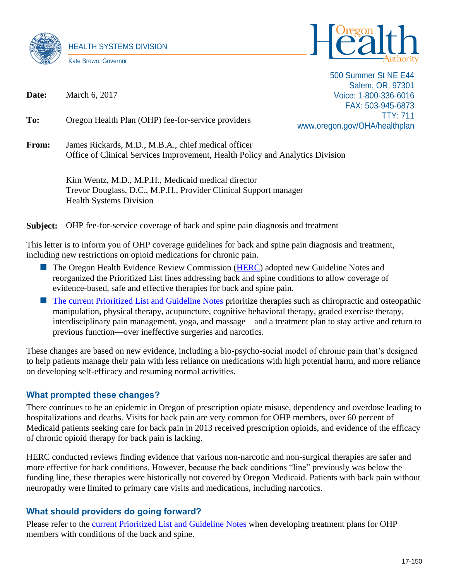



500 Summer St NE E44 Salem, OR, 97301 Voice: 1-800-336-6016 FAX: 503-945-6873 TTY: 711 www.oregon.gov/OHA/healthplan

**Date:** March 6, 2017

**To:** Oregon Health Plan (OHP) fee-for-service providers

**From:** James Rickards, M.D., M.B.A., chief medical officer Office of Clinical Services Improvement, Health Policy and Analytics Division

> Kim Wentz, M.D., M.P.H., Medicaid medical director Trevor Douglass, D.C., M.P.H., Provider Clinical Support manager Health Systems Division

**Subject:** OHP fee-for-service coverage of back and spine pain diagnosis and treatment

This letter is to inform you of OHP coverage guidelines for back and spine pain diagnosis and treatment, including new restrictions on opioid medications for chronic pain.

- **The Oregon Health Evidence Review Commission [\(HERC\)](http://www.oregon.gov/oha/herc/pages/index.aspx) adopted new Guideline Notes and** reorganized the Prioritized List lines addressing back and spine conditions to allow coverage of evidence-based, safe and effective therapies for back and spine pain.
- **[The current Prioritized List and Guideline Notes](http://www.oregon.gov/oha/herc/Pages/PrioritizedList.aspx) prioritize therapies such as chiropractic and osteopathic** manipulation, physical therapy, acupuncture, cognitive behavioral therapy, graded exercise therapy, interdisciplinary pain management, yoga, and massage––and a treatment plan to stay active and return to previous function––over ineffective surgeries and narcotics.

These changes are based on new evidence, including a bio-psycho-social model of chronic pain that's designed to help patients manage their pain with less reliance on medications with high potential harm, and more reliance on developing self-efficacy and resuming normal activities.

## **What prompted these changes?**

There continues to be an epidemic in Oregon of prescription opiate misuse, dependency and overdose leading to hospitalizations and deaths. Visits for back pain are very common for OHP members, over 60 percent of Medicaid patients seeking care for back pain in 2013 received prescription opioids, and evidence of the efficacy of chronic opioid therapy for back pain is lacking.

HERC conducted reviews finding evidence that various non-narcotic and non-surgical therapies are safer and more effective for back conditions. However, because the back conditions "line" previously was below the funding line, these therapies were historically not covered by Oregon Medicaid. Patients with back pain without neuropathy were limited to primary care visits and medications, including narcotics.

## **What should providers do going forward?**

Please refer to the [current Prioritized List and Guideline Notes](http://www.oregon.gov/oha/herc/Pages/PrioritizedList.aspx) when developing treatment plans for OHP members with conditions of the back and spine.